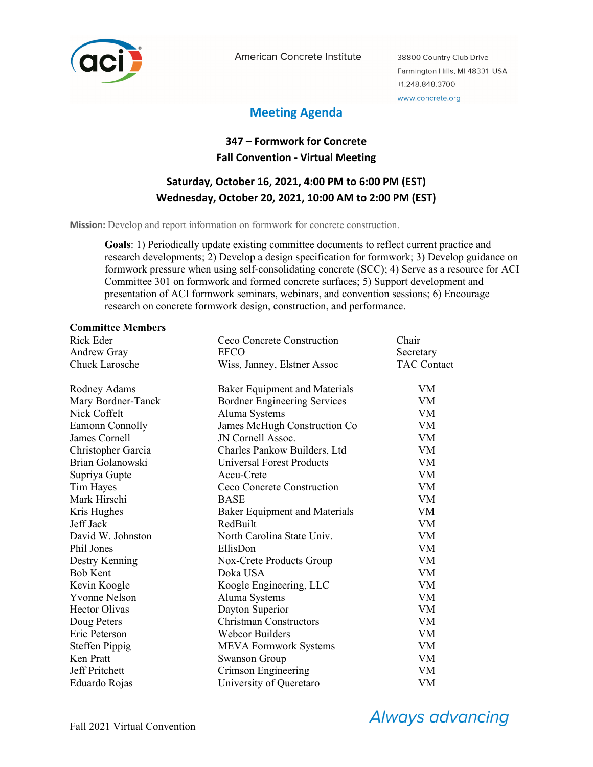

American Concrete Institute

38800 Country Club Drive Farmington Hills, MI 48331 USA +1.248.848.3700 www.concrete.org

# **Meeting Agenda**

# **347 – Formwork for Concrete Fall Convention - Virtual Meeting**

# **Saturday, October 16, 2021, 4:00 PM to 6:00 PM (EST) Wednesday, October 20, 2021, 10:00 AM to 2:00 PM (EST)**

**Mission:** Develop and report information on formwork for concrete construction.

**Goals**: 1) Periodically update existing committee documents to reflect current practice and research developments; 2) Develop a design specification for formwork; 3) Develop guidance on formwork pressure when using self-consolidating concrete (SCC); 4) Serve as a resource for ACI Committee 301 on formwork and formed concrete surfaces; 5) Support development and presentation of ACI formwork seminars, webinars, and convention sessions; 6) Encourage research on concrete formwork design, construction, and performance.

#### **Committee Members**

| Rick Eder             | Ceco Concrete Construction           | Chair              |
|-----------------------|--------------------------------------|--------------------|
| Andrew Gray           | <b>EFCO</b>                          | Secretary          |
| <b>Chuck Larosche</b> | Wiss, Janney, Elstner Assoc          | <b>TAC Contact</b> |
| Rodney Adams          | <b>Baker Equipment and Materials</b> | VM.                |
| Mary Bordner-Tanck    | <b>Bordner Engineering Services</b>  | <b>VM</b>          |
| Nick Coffelt          | Aluma Systems                        | <b>VM</b>          |
| Eamonn Connolly       | James McHugh Construction Co         | VM                 |
| James Cornell         | JN Cornell Assoc.                    | VM                 |
| Christopher Garcia    | Charles Pankow Builders, Ltd         | VM                 |
| Brian Golanowski      | <b>Universal Forest Products</b>     | <b>VM</b>          |
| Supriya Gupte         | Accu-Crete                           | VM                 |
| Tim Hayes             | Ceco Concrete Construction           | <b>VM</b>          |
| Mark Hirschi          | <b>BASE</b>                          | VM                 |
| Kris Hughes           | <b>Baker Equipment and Materials</b> | VM                 |
| Jeff Jack             | RedBuilt                             | <b>VM</b>          |
| David W. Johnston     | North Carolina State Univ.           | <b>VM</b>          |
| Phil Jones            | EllisDon                             | VM                 |
| Destry Kenning        | Nox-Crete Products Group             | <b>VM</b>          |
| <b>Bob Kent</b>       | Doka USA                             | <b>VM</b>          |
| Kevin Koogle          | Koogle Engineering, LLC              | <b>VM</b>          |
| <b>Yvonne Nelson</b>  | Aluma Systems                        | <b>VM</b>          |
| <b>Hector Olivas</b>  | Dayton Superior                      | <b>VM</b>          |
| Doug Peters           | <b>Christman Constructors</b>        | <b>VM</b>          |
| Eric Peterson         | <b>Webcor Builders</b>               | <b>VM</b>          |
| <b>Steffen Pippig</b> | MEVA Formwork Systems                | VM                 |
| Ken Pratt             | <b>Swanson Group</b>                 | <b>VM</b>          |
| Jeff Pritchett        | Crimson Engineering                  | VM                 |
| Eduardo Rojas         | University of Queretaro              | <b>VM</b>          |

**Always advancing**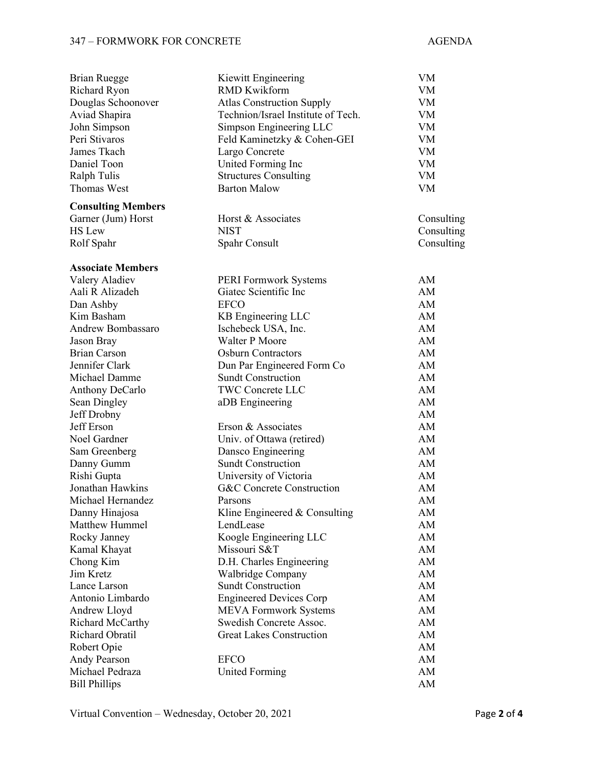# 347 – FORMWORK FOR CONCRETE AGENDA

| <b>Brian Ruegge</b>       | Kiewitt Engineering                  | VM         |
|---------------------------|--------------------------------------|------------|
| <b>Richard Ryon</b>       | <b>RMD Kwikform</b>                  | VM         |
| Douglas Schoonover        | <b>Atlas Construction Supply</b>     | VM         |
| Aviad Shapira             | Technion/Israel Institute of Tech.   | VM         |
| John Simpson              | Simpson Engineering LLC              | VM         |
| Peri Stivaros             | Feld Kaminetzky & Cohen-GEI          | VM         |
| James Tkach               | Largo Concrete                       | VM         |
| Daniel Toon               | United Forming Inc                   | VM         |
| Ralph Tulis               | <b>Structures Consulting</b>         | VM         |
| <b>Thomas West</b>        | <b>Barton Malow</b>                  | <b>VM</b>  |
| <b>Consulting Members</b> |                                      |            |
| Garner (Jum) Horst        | Horst & Associates                   | Consulting |
| <b>HS</b> Lew             | <b>NIST</b>                          | Consulting |
| Rolf Spahr                | Spahr Consult                        | Consulting |
| <b>Associate Members</b>  |                                      |            |
| Valery Aladiev            | PERI Formwork Systems                | AM         |
| Aali R Alizadeh           | Giatec Scientific Inc                | AM         |
| Dan Ashby                 | <b>EFCO</b>                          | AM         |
| Kim Basham                | KB Engineering LLC                   | AM         |
| <b>Andrew Bombassaro</b>  | Ischebeck USA, Inc.                  | AM         |
| Jason Bray                | Walter P Moore                       | AM         |
| <b>Brian Carson</b>       | <b>Osburn Contractors</b>            | AM         |
| Jennifer Clark            | Dun Par Engineered Form Co           | AM         |
| Michael Damme             | <b>Sundt Construction</b>            | AM         |
| <b>Anthony DeCarlo</b>    | <b>TWC Concrete LLC</b>              | AM         |
| Sean Dingley              | aDB Engineering                      | AM         |
| Jeff Drobny               |                                      | AM         |
| <b>Jeff</b> Erson         | Erson & Associates                   | AM         |
| Noel Gardner              | Univ. of Ottawa (retired)            | AM         |
| Sam Greenberg             | Dansco Engineering                   | AM         |
| Danny Gumm                | <b>Sundt Construction</b>            | AM         |
| Rishi Gupta               | University of Victoria               | AM         |
| Jonathan Hawkins          | <b>G&amp;C</b> Concrete Construction | AM         |
| Michael Hernandez         | Parsons                              | AM         |
| Danny Hinajosa            | Kline Engineered $&$ Consulting      | AM         |
| Matthew Hummel            | LendLease                            | AM         |
| Rocky Janney              | Koogle Engineering LLC               | AM         |
| Kamal Khayat              | Missouri S&T                         | AM         |
| Chong Kim                 | D.H. Charles Engineering             | AM         |
| Jim Kretz                 | Walbridge Company                    | AM         |
| Lance Larson              | <b>Sundt Construction</b>            | AM         |
| Antonio Limbardo          | <b>Engineered Devices Corp</b>       | AM         |
| Andrew Lloyd              | <b>MEVA Formwork Systems</b>         | AM         |
| Richard McCarthy          | Swedish Concrete Assoc.              | AM         |
| Richard Obratil           | <b>Great Lakes Construction</b>      | AM         |
| Robert Opie               |                                      | AM         |
| Andy Pearson              | <b>EFCO</b>                          | AM         |
| Michael Pedraza           | <b>United Forming</b>                | AM         |
| <b>Bill Phillips</b>      |                                      | AM         |

Virtual Convention – Wednesday, October 20, 2021 Page 2 of 4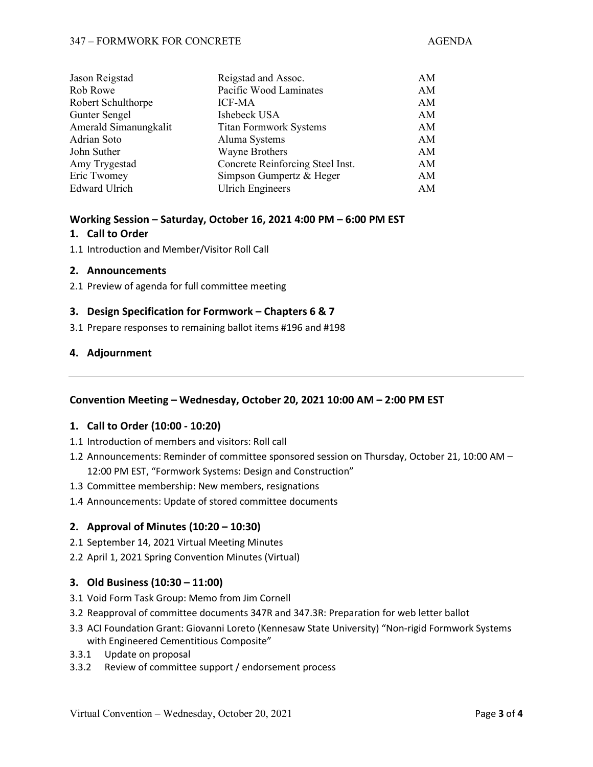#### 347 – FORMWORK FOR CONCRETE AGENDA

| Reigstad and Assoc.              | AM |
|----------------------------------|----|
| Pacific Wood Laminates           | AM |
| <b>ICF-MA</b>                    | AM |
| Ishebeck USA                     | AM |
| <b>Titan Formwork Systems</b>    | AM |
| Aluma Systems                    | AM |
| <b>Wayne Brothers</b>            | AM |
| Concrete Reinforcing Steel Inst. | AM |
| Simpson Gumpertz & Heger         | AM |
| <b>Ulrich Engineers</b>          | AM |
|                                  |    |

#### **Working Session – Saturday, October 16, 2021 4:00 PM – 6:00 PM EST**

### **1. Call to Order**

1.1 Introduction and Member/Visitor Roll Call

### **2. Announcements**

2.1 Preview of agenda for full committee meeting

## **3. Design Specification for Formwork – Chapters 6 & 7**

3.1 Prepare responses to remaining ballot items #196 and #198

## **4. Adjournment**

## **Convention Meeting – Wednesday, October 20, 2021 10:00 AM – 2:00 PM EST**

#### **1. Call to Order (10:00 - 10:20)**

- 1.1 Introduction of members and visitors: Roll call
- 1.2 Announcements: Reminder of committee sponsored session on Thursday, October 21, 10:00 AM 12:00 PM EST, "Formwork Systems: Design and Construction"
- 1.3 Committee membership: New members, resignations
- 1.4 Announcements: Update of stored committee documents

## **2. Approval of Minutes (10:20 – 10:30)**

- 2.1 September 14, 2021 Virtual Meeting Minutes
- 2.2 April 1, 2021 Spring Convention Minutes (Virtual)

#### **3. Old Business (10:30 – 11:00)**

- 3.1 Void Form Task Group: Memo from Jim Cornell
- 3.2 Reapproval of committee documents 347R and 347.3R: Preparation for web letter ballot
- 3.3 ACI Foundation Grant: Giovanni Loreto (Kennesaw State University) "Non-rigid Formwork Systems with Engineered Cementitious Composite"
- 3.3.1 Update on proposal
- 3.3.2 Review of committee support / endorsement process